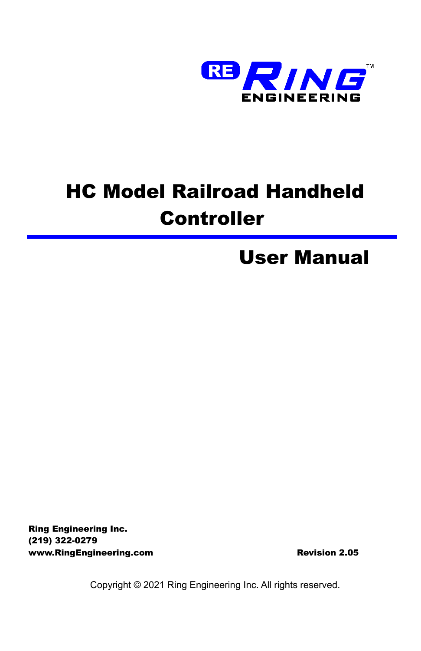

# HC Model Railroad Handheld **Controller**

# User Manual

Ring Engineering Inc. (219) 322-0279 www.RingEngineering.com example and a series of Revision 2.05

Copyright © 2021 Ring Engineering Inc. All rights reserved.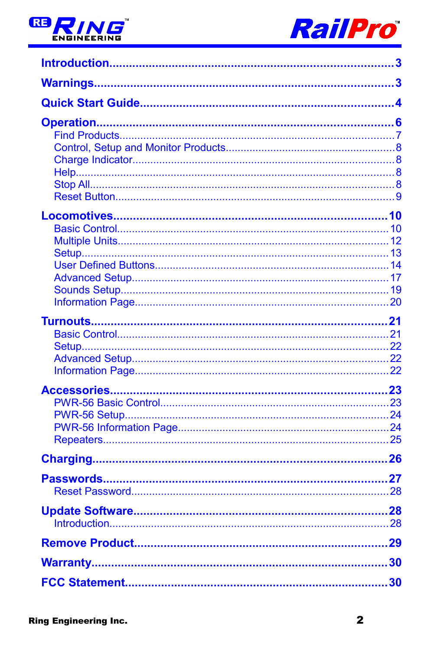

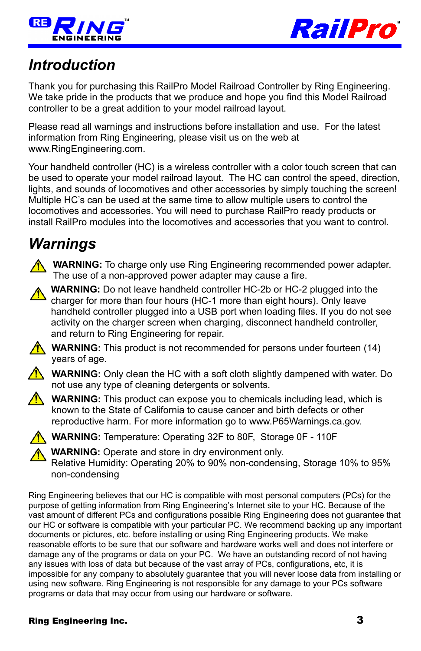



## <span id="page-2-0"></span>*Introduction*

Thank you for purchasing this RailPro Model Railroad Controller by Ring Engineering. We take pride in the products that we produce and hope you find this Model Railroad controller to be a great addition to your model railroad layout.

Please read all warnings and instructions before installation and use. For the latest information from Ring Engineering, please visit us on the web at www.RingEngineering.com.

Your handheld controller (HC) is a wireless controller with a color touch screen that can be used to operate your model railroad layout. The HC can control the speed, direction, lights, and sounds of locomotives and other accessories by simply touching the screen! Multiple HC's can be used at the same time to allow multiple users to control the locomotives and accessories. You will need to purchase RailPro ready products or install RailPro modules into the locomotives and accessories that you want to control.

## <span id="page-2-1"></span>*Warnings*

**WARNING:** To charge only use Ring Engineering recommended power adapter. The use of a non-approved power adapter may cause a fire.



**WARNING:** This product is not recommended for persons under fourteen (14) years of age.



**WARNING:** Only clean the HC with a soft cloth slightly dampened with water. Do not use any type of cleaning detergents or solvents.



**WARNING:** This product can expose you to chemicals including lead, which is known to the State of California to cause cancer and birth defects or other reproductive harm. For more information go to www.P65Warnings.ca.gov.



**WARNING:** Temperature: Operating 32F to 80F, Storage 0F - 110F

**WARNING:** Operate and store in dry environment only.

Relative Humidity: Operating 20% to 90% non-condensing, Storage 10% to 95% non-condensing

Ring Engineering believes that our HC is compatible with most personal computers (PCs) for the purpose of getting information from Ring Engineering's Internet site to your HC. Because of the vast amount of different PCs and configurations possible Ring Engineering does not guarantee that our HC or software is compatible with your particular PC. We recommend backing up any important documents or pictures, etc. before installing or using Ring Engineering products. We make reasonable efforts to be sure that our software and hardware works well and does not interfere or damage any of the programs or data on your PC. We have an outstanding record of not having any issues with loss of data but because of the vast array of PCs, configurations, etc, it is impossible for any company to absolutely guarantee that you will never loose data from installing or using new software. Ring Engineering is not responsible for any damage to your PCs software programs or data that may occur from using our hardware or software.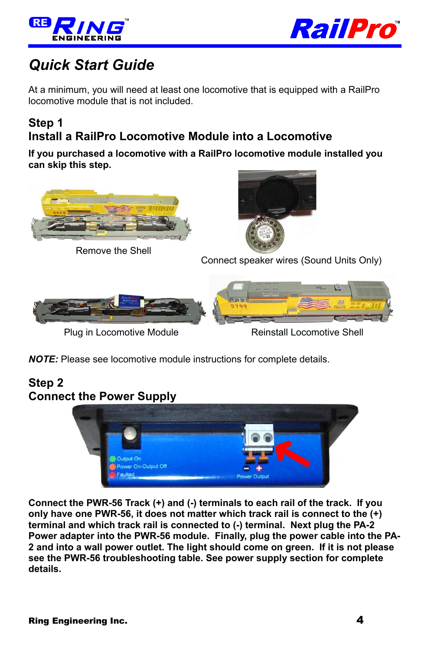



## <span id="page-3-0"></span>*Quick Start Guide*

At a minimum, you will need at least one locomotive that is equipped with a RailPro locomotive module that is not included.

### **Step 1 Install a RailPro Locomotive Module into a Locomotive**

**If you purchased a locomotive with a RailPro locomotive module installed you can skip this step.**



*NOTE:* Please see locomotive module instructions for complete details.

### **Step 2 Connect the Power Supply**



**Connect the PWR-56 Track (+) and (-) terminals to each rail of the track. If you only have one PWR-56, it does not matter which track rail is connect to the (+) terminal and which track rail is connected to (-) terminal. Next plug the PA-2 Power adapter into the PWR-56 module. Finally, plug the power cable into the PA-2 and into a wall power outlet. The light should come on green. If it is not please see the PWR-56 troubleshooting table. See power supply section for complete details.**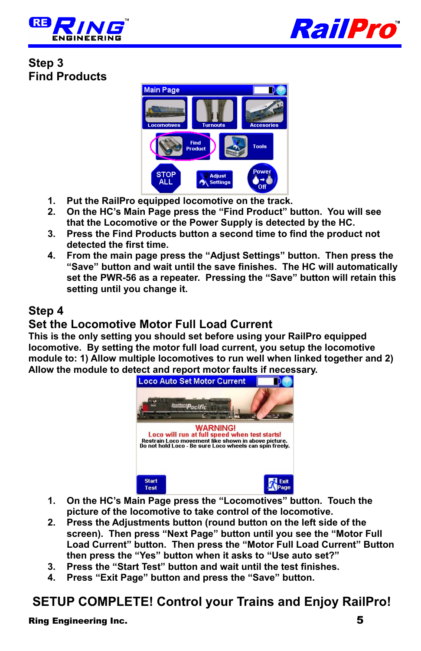



**Step 3 Find Products**



- **1. Put the RailPro equipped locomotive on the track.**
- **2. On the HC's Main Page press the "Find Product" button. You will see that the Locomotive or the Power Supply is detected by the HC.**
- **3. Press the Find Products button a second time to find the product not detected the first time.**
- **4. From the main page press the "Adjust Settings" button. Then press the "Save" button and wait until the save finishes. The HC will automatically set the PWR-56 as a repeater. Pressing the "Save" button will retain this setting until you change it.**

### **Step 4**

### **Set the Locomotive Motor Full Load Current**

**This is the only setting you should set before using your RailPro equipped locomotive. By setting the motor full load current, you setup the locomotive module to: 1) Allow multiple locomotives to run well when linked together and 2) Allow the module to detect and report motor faults if necessary.**



- **1. On the HC's Main Page press the "Locomotives" button. Touch the picture of the locomotive to take control of the locomotive.**
- **2. Press the Adjustments button (round button on the left side of the screen). Then press "Next Page" button until you see the "Motor Full Load Current" button. Then press the "Motor Full Load Current" Button then press the "Yes" button when it asks to "Use auto set?"**
- **3. Press the "Start Test" button and wait until the test finishes.**
- **4. Press "Exit Page" button and press the "Save" button.**

## **SETUP COMPLETE! Control your Trains and Enjoy RailPro!**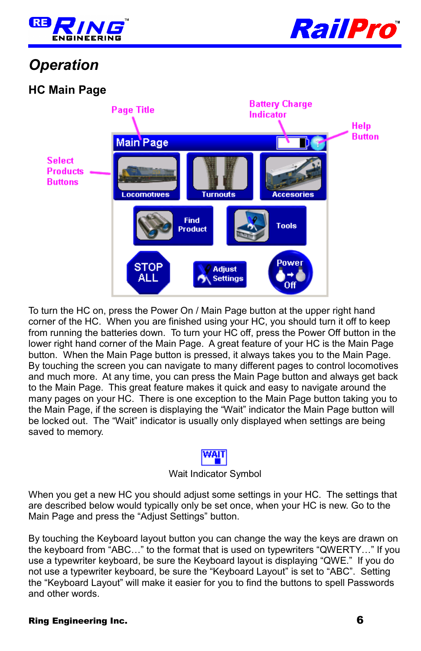



## <span id="page-5-0"></span>*Operation*

### **HC Main Page**



To turn the HC on, press the Power On / Main Page button at the upper right hand corner of the HC. When you are finished using your HC, you should turn it off to keep from running the batteries down. To turn your HC off, press the Power Off button in the lower right hand corner of the Main Page. A great feature of your HC is the Main Page button. When the Main Page button is pressed, it always takes you to the Main Page. By touching the screen you can navigate to many different pages to control locomotives and much more. At any time, you can press the Main Page button and always get back to the Main Page. This great feature makes it quick and easy to navigate around the many pages on your HC. There is one exception to the Main Page button taking you to the Main Page, if the screen is displaying the "Wait" indicator the Main Page button will be locked out. The "Wait" indicator is usually only displayed when settings are being saved to memory.



#### Wait Indicator Symbol

When you get a new HC you should adjust some settings in your HC. The settings that are described below would typically only be set once, when your HC is new. Go to the Main Page and press the "Adjust Settings" button.

By touching the Keyboard layout button you can change the way the keys are drawn on the keyboard from "ABC…" to the format that is used on typewriters "QWERTY…" If you use a typewriter keyboard, be sure the Keyboard layout is displaying "QWE." If you do not use a typewriter keyboard, be sure the "Keyboard Layout" is set to "ABC". Setting the "Keyboard Layout" will make it easier for you to find the buttons to spell Passwords and other words.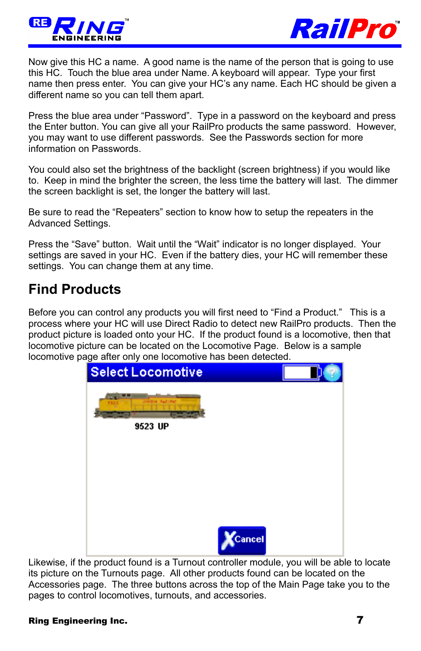



Now give this HC a name. A good name is the name of the person that is going to use this HC. Touch the blue area under Name. A keyboard will appear. Type your first name then press enter. You can give your HC's any name. Each HC should be given a different name so you can tell them apart.

Press the blue area under "Password". Type in a password on the keyboard and press the Enter button. You can give all your RailPro products the same password. However, you may want to use different passwords. See the Passwords section for more information on Passwords.

You could also set the brightness of the backlight (screen brightness) if you would like to. Keep in mind the brighter the screen, the less time the battery will last. The dimmer the screen backlight is set, the longer the battery will last.

Be sure to read the "Repeaters" section to know how to setup the repeaters in the Advanced Settings.

Press the "Save" button. Wait until the "Wait" indicator is no longer displayed. Your settings are saved in your HC. Even if the battery dies, your HC will remember these settings. You can change them at any time.

## <span id="page-6-0"></span>**Find Products**

Before you can control any products you will first need to "Find a Product." This is a process where your HC will use Direct Radio to detect new RailPro products. Then the product picture is loaded onto your HC. If the product found is a locomotive, then that locomotive picture can be located on the Locomotive Page. Below is a sample locomotive page after only one locomotive has been detected.



Likewise, if the product found is a Turnout controller module, you will be able to locate its picture on the Turnouts page. All other products found can be located on the Accessories page. The three buttons across the top of the Main Page take you to the pages to control locomotives, turnouts, and accessories.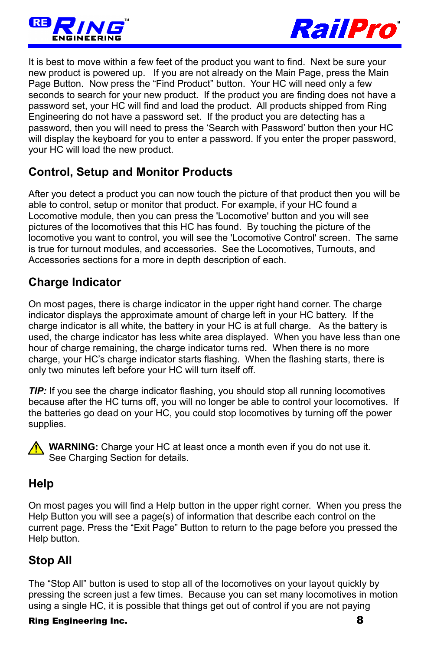



It is best to move within a few feet of the product you want to find. Next be sure your new product is powered up. If you are not already on the Main Page, press the Main Page Button. Now press the "Find Product" button. Your HC will need only a few seconds to search for your new product. If the product you are finding does not have a password set, your HC will find and load the product. All products shipped from Ring Engineering do not have a password set. If the product you are detecting has a password, then you will need to press the 'Search with Password' button then your HC will display the keyboard for you to enter a password. If you enter the proper password, your HC will load the new product.

## <span id="page-7-3"></span>**Control, Setup and Monitor Products**

After you detect a product you can now touch the picture of that product then you will be able to control, setup or monitor that product. For example, if your HC found a Locomotive module, then you can press the 'Locomotive' button and you will see pictures of the locomotives that this HC has found. By touching the picture of the locomotive you want to control, you will see the 'Locomotive Control' screen. The same is true for turnout modules, and accessories. See the Locomotives, Turnouts, and Accessories sections for a more in depth description of each.

## <span id="page-7-2"></span>**Charge Indicator**

On most pages, there is charge indicator in the upper right hand corner. The charge indicator displays the approximate amount of charge left in your HC battery. If the charge indicator is all white, the battery in your HC is at full charge. As the battery is used, the charge indicator has less white area displayed. When you have less than one hour of charge remaining, the charge indicator turns red. When there is no more charge, your HC's charge indicator starts flashing. When the flashing starts, there is only two minutes left before your HC will turn itself off.

*TIP:* If you see the charge indicator flashing, you should stop all running locomotives because after the HC turns off, you will no longer be able to control your locomotives. If the batteries go dead on your HC, you could stop locomotives by turning off the power supplies.



**WARNING:** Charge your HC at least once a month even if you do not use it. See Charging Section for details.

### <span id="page-7-1"></span>**Help**

On most pages you will find a Help button in the upper right corner. When you press the Help Button you will see a page(s) of information that describe each control on the current page. Press the "Exit Page" Button to return to the page before you pressed the Help button.

### <span id="page-7-0"></span>**Stop All**

The "Stop All" button is used to stop all of the locomotives on your layout quickly by pressing the screen just a few times. Because you can set many locomotives in motion using a single HC, it is possible that things get out of control if you are not paying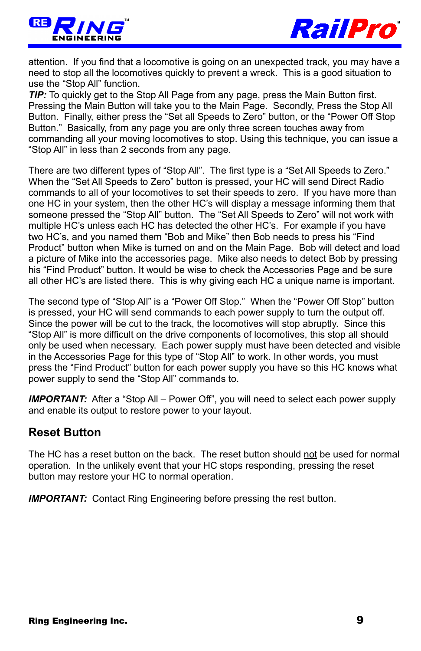



attention. If you find that a locomotive is going on an unexpected track, you may have a need to stop all the locomotives quickly to prevent a wreck. This is a good situation to use the "Stop All" function.

*TIP:* To quickly get to the Stop All Page from any page, press the Main Button first. Pressing the Main Button will take you to the Main Page. Secondly, Press the Stop All Button. Finally, either press the "Set all Speeds to Zero" button, or the "Power Off Stop Button." Basically, from any page you are only three screen touches away from commanding all your moving locomotives to stop. Using this technique, you can issue a "Stop All" in less than 2 seconds from any page.

There are two different types of "Stop All". The first type is a "Set All Speeds to Zero." When the "Set All Speeds to Zero" button is pressed, your HC will send Direct Radio commands to all of your locomotives to set their speeds to zero. If you have more than one HC in your system, then the other HC's will display a message informing them that someone pressed the "Stop All" button. The "Set All Speeds to Zero" will not work with multiple HC's unless each HC has detected the other HC's. For example if you have two HC's, and you named them "Bob and Mike" then Bob needs to press his "Find Product" button when Mike is turned on and on the Main Page. Bob will detect and load a picture of Mike into the accessories page. Mike also needs to detect Bob by pressing his "Find Product" button. It would be wise to check the Accessories Page and be sure all other HC's are listed there. This is why giving each HC a unique name is important.

The second type of "Stop All" is a "Power Off Stop." When the "Power Off Stop" button is pressed, your HC will send commands to each power supply to turn the output off. Since the power will be cut to the track, the locomotives will stop abruptly. Since this "Stop All" is more difficult on the drive components of locomotives, this stop all should only be used when necessary. Each power supply must have been detected and visible in the Accessories Page for this type of "Stop All" to work. In other words, you must press the "Find Product" button for each power supply you have so this HC knows what power supply to send the "Stop All" commands to.

**IMPORTANT:** After a "Stop All – Power Off", you will need to select each power supply and enable its output to restore power to your layout.

### <span id="page-8-0"></span>**Reset Button**

The HC has a reset button on the back. The reset button should not be used for normal operation. In the unlikely event that your HC stops responding, pressing the reset button may restore your HC to normal operation.

**IMPORTANT:** Contact Ring Engineering before pressing the rest button.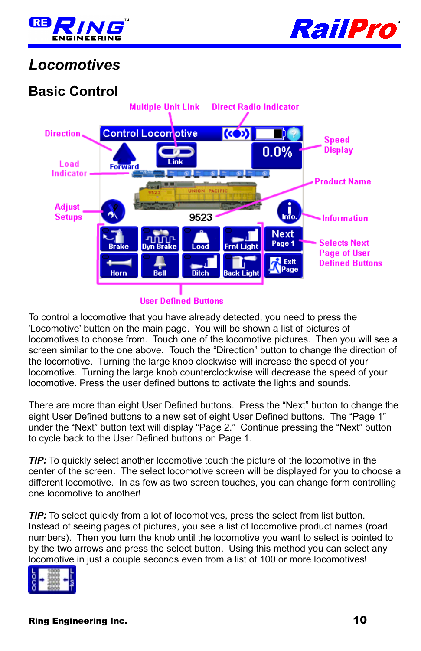



## <span id="page-9-1"></span>*Locomotives*

## <span id="page-9-0"></span>**Basic Control**



#### **User Defined Buttons**

To control a locomotive that you have already detected, you need to press the 'Locomotive' button on the main page. You will be shown a list of pictures of locomotives to choose from. Touch one of the locomotive pictures. Then you will see a screen similar to the one above. Touch the "Direction" button to change the direction of the locomotive. Turning the large knob clockwise will increase the speed of your locomotive. Turning the large knob counterclockwise will decrease the speed of your locomotive. Press the user defined buttons to activate the lights and sounds.

There are more than eight User Defined buttons. Press the "Next" button to change the eight User Defined buttons to a new set of eight User Defined buttons. The "Page 1" under the "Next" button text will display "Page 2." Continue pressing the "Next" button to cycle back to the User Defined buttons on Page 1.

*TIP:* To quickly select another locomotive touch the picture of the locomotive in the center of the screen. The select locomotive screen will be displayed for you to choose a different locomotive. In as few as two screen touches, you can change form controlling one locomotive to another!

*TIP:* To select quickly from a lot of locomotives, press the select from list button. Instead of seeing pages of pictures, you see a list of locomotive product names (road numbers). Then you turn the knob until the locomotive you want to select is pointed to by the two arrows and press the select button. Using this method you can select any locomotive in just a couple seconds even from a list of 100 or more locomotives!

|--|--|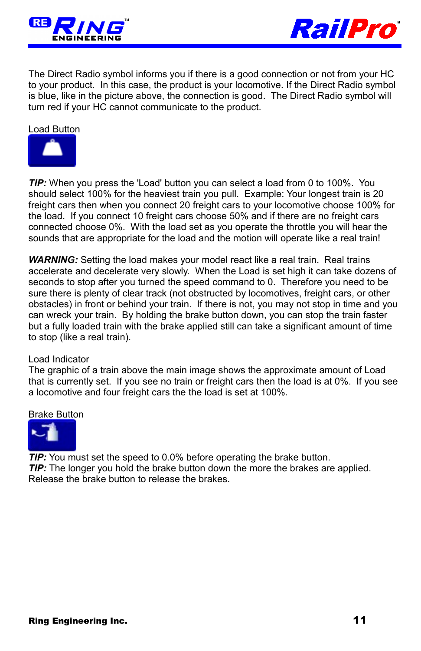



The Direct Radio symbol informs you if there is a good connection or not from your HC to your product. In this case, the product is your locomotive. If the Direct Radio symbol is blue, like in the picture above, the connection is good. The Direct Radio symbol will turn red if your HC cannot communicate to the product.

#### Load Button



*TIP:* When you press the 'Load' button you can select a load from 0 to 100%. You should select 100% for the heaviest train you pull. Example: Your longest train is 20 freight cars then when you connect 20 freight cars to your locomotive choose 100% for the load. If you connect 10 freight cars choose 50% and if there are no freight cars connected choose 0%. With the load set as you operate the throttle you will hear the sounds that are appropriate for the load and the motion will operate like a real train!

WARNING: Setting the load makes your model react like a real train. Real trains accelerate and decelerate very slowly. When the Load is set high it can take dozens of seconds to stop after you turned the speed command to 0. Therefore you need to be sure there is plenty of clear track (not obstructed by locomotives, freight cars, or other obstacles) in front or behind your train. If there is not, you may not stop in time and you can wreck your train. By holding the brake button down, you can stop the train faster but a fully loaded train with the brake applied still can take a significant amount of time to stop (like a real train).

#### Load Indicator

The graphic of a train above the main image shows the approximate amount of Load that is currently set. If you see no train or freight cars then the load is at 0%. If you see a locomotive and four freight cars the the load is set at 100%.

#### Brake Button



*TIP:* You must set the speed to 0.0% before operating the brake button. *TIP:* The longer you hold the brake button down the more the brakes are applied. Release the brake button to release the brakes.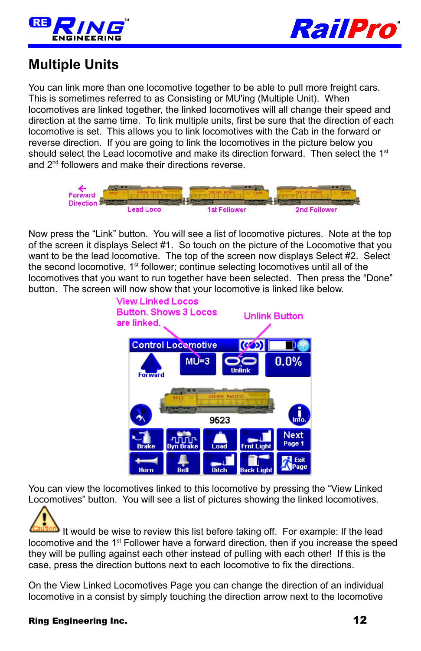



## <span id="page-11-0"></span>**Multiple Units**

You can link more than one locomotive together to be able to pull more freight cars. This is sometimes referred to as Consisting or MU'ing (Multiple Unit). When locomotives are linked together, the linked locomotives will all change their speed and direction at the same time. To link multiple units, first be sure that the direction of each locomotive is set. This allows you to link locomotives with the Cab in the forward or reverse direction. If you are going to link the locomotives in the picture below you should select the Lead locomotive and make its direction forward. Then select the  $1<sup>st</sup>$ and 2<sup>nd</sup> followers and make their directions reverse.



Now press the "Link" button. You will see a list of locomotive pictures. Note at the top of the screen it displays Select #1. So touch on the picture of the Locomotive that you want to be the lead locomotive. The top of the screen now displays Select #2. Select the second locomotive, 1<sup>st</sup> follower; continue selecting locomotives until all of the locomotives that you want to run together have been selected. Then press the "Done" button. The screen will now show that your locomotive is linked like below.



You can view the locomotives linked to this locomotive by pressing the "View Linked Locomotives" button. You will see a list of pictures showing the linked locomotives.

It would be wise to review this list before taking off. For example: If the lead locomotive and the 1<sup>st</sup> Follower have a forward direction, then if you increase the speed they will be pulling against each other instead of pulling with each other! If this is the case, press the direction buttons next to each locomotive to fix the directions.

On the View Linked Locomotives Page you can change the direction of an individual locomotive in a consist by simply touching the direction arrow next to the locomotive

#### Ring Engineering Inc. 2008 2012 12:00:00 12:00:00 12:00:00 12:00:00 12:00:00 12:00:00 12:00:00 12:00:00 12:00:00 12:00:00 12:00:00 12:00:00 12:00:00 12:00:00 12:00:00 12:00:00 12:00:00 12:00:00 12:00:00 12:00:00 12:00:00 1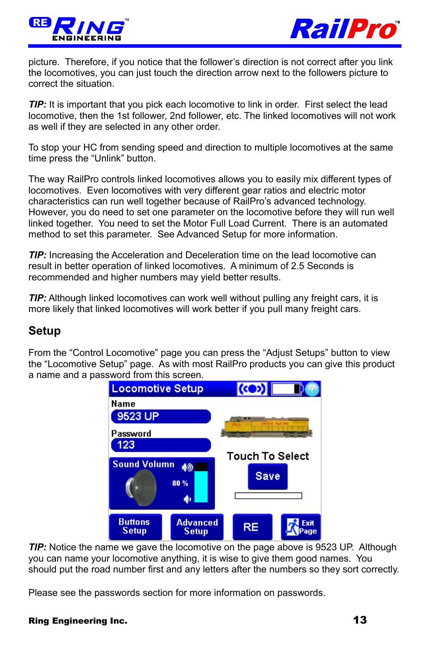



picture. Therefore, if you notice that the follower's direction is not correct after you link the locomotives, you can just touch the direction arrow next to the followers picture to correct the situation.

*TIP:* It is important that you pick each locomotive to link in order. First select the lead locomotive, then the 1st follower, 2nd follower, etc. The linked locomotives will not work as well if they are selected in any other order.

To stop your HC from sending speed and direction to multiple locomotives at the same time press the "Unlink" button.

The way RailPro controls linked locomotives allows you to easily mix different types of locomotives. Even locomotives with very different gear ratios and electric motor characteristics can run well together because of RailPro's advanced technology. However, you do need to set one parameter on the locomotive before they will run well linked together. You need to set the Motor Full Load Current. There is an automated method to set this parameter. See Advanced Setup for more information.

*TIP:* Increasing the Acceleration and Deceleration time on the lead locomotive can result in better operation of linked locomotives. A minimum of 2.5 Seconds is recommended and higher numbers may yield better results.

*TIP:* Although linked locomotives can work well without pulling any freight cars, it is more likely that linked locomotives will work better if you pull many freight cars.

#### <span id="page-12-0"></span>**Setup**

From the "Control Locomotive" page you can press the "Adjust Setups" button to view the "Locomotive Setup" page. As with most RailPro products you can give this product a name and a password from this screen.



*TIP:* Notice the name we gave the locomotive on the page above is 9523 UP. Although you can name your locomotive anything, it is wise to give them good names. You should put the road number first and any letters after the numbers so they sort correctly.

Please see the passwords section for more information on passwords.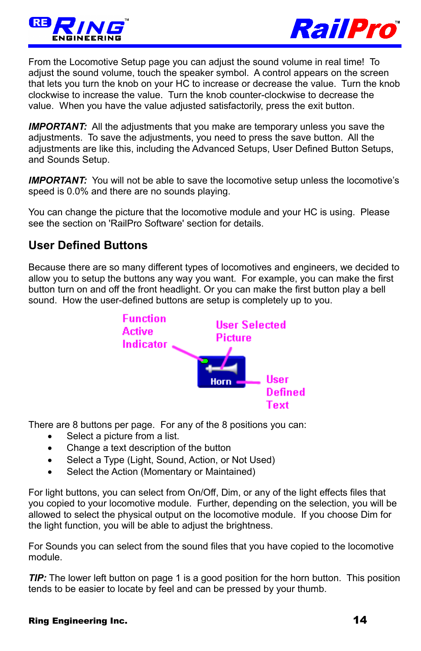



From the Locomotive Setup page you can adjust the sound volume in real time! To adjust the sound volume, touch the speaker symbol. A control appears on the screen that lets you turn the knob on your HC to increase or decrease the value. Turn the knob clockwise to increase the value. Turn the knob counter-clockwise to decrease the value. When you have the value adjusted satisfactorily, press the exit button.

**IMPORTANT:** All the adjustments that you make are temporary unless you save the adjustments. To save the adjustments, you need to press the save button. All the adjustments are like this, including the Advanced Setups, User Defined Button Setups, and Sounds Setup.

**IMPORTANT:** You will not be able to save the locomotive setup unless the locomotive's speed is 0.0% and there are no sounds playing.

You can change the picture that the locomotive module and your HC is using. Please see the section on 'RailPro Software' section for details.

### <span id="page-13-0"></span>**User Defined Buttons**

Because there are so many different types of locomotives and engineers, we decided to allow you to setup the buttons any way you want. For example, you can make the first button turn on and off the front headlight. Or you can make the first button play a bell sound. How the user-defined buttons are setup is completely up to you.



There are 8 buttons per page. For any of the 8 positions you can:

- Select a picture from a list.
- Change a text description of the button
- Select a Type (Light, Sound, Action, or Not Used)
- Select the Action (Momentary or Maintained)

For light buttons, you can select from On/Off, Dim, or any of the light effects files that you copied to your locomotive module. Further, depending on the selection, you will be allowed to select the physical output on the locomotive module. If you choose Dim for the light function, you will be able to adjust the brightness.

For Sounds you can select from the sound files that you have copied to the locomotive module.

**TIP:** The lower left button on page 1 is a good position for the horn button. This position tends to be easier to locate by feel and can be pressed by your thumb.

#### Ring Engineering Inc. 2008 2012 12:30 12:30 14:30 14:30 14:30 14:30 14:30 14:30 14:30 14:30 14:30 14:30 14:30 14:30 14:30 14:30 14:30 14:30 14:30 14:30 14:30 14:30 14:30 14:30 14:30 14:30 14:30 14:30 14:30 14:30 14:30 14:3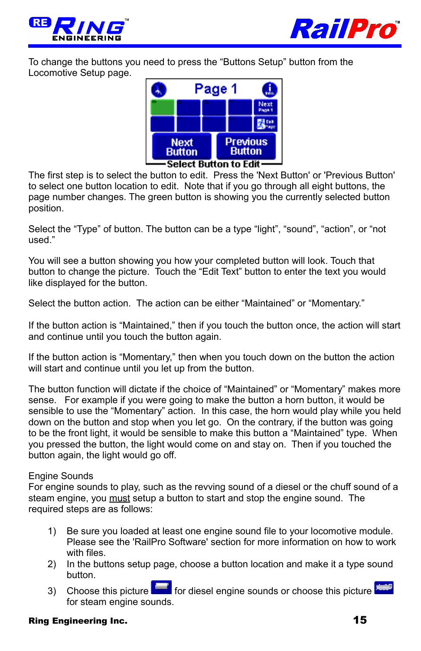



To change the buttons you need to press the "Buttons Setup" button from the Locomotive Setup page.



The first step is to select the button to edit. Press the 'Next Button' or 'Previous Button' to select one button location to edit. Note that if you go through all eight buttons, the page number changes. The green button is showing you the currently selected button position.

Select the "Type" of button. The button can be a type "light", "sound", "action", or "not used."

You will see a button showing you how your completed button will look. Touch that button to change the picture. Touch the "Edit Text" button to enter the text you would like displayed for the button.

Select the button action. The action can be either "Maintained" or "Momentary."

If the button action is "Maintained," then if you touch the button once, the action will start and continue until you touch the button again.

If the button action is "Momentary," then when you touch down on the button the action will start and continue until you let up from the button.

The button function will dictate if the choice of "Maintained" or "Momentary" makes more sense. For example if you were going to make the button a horn button, it would be sensible to use the "Momentary" action. In this case, the horn would play while you held down on the button and stop when you let go. On the contrary, if the button was going to be the front light, it would be sensible to make this button a "Maintained" type. When you pressed the button, the light would come on and stay on. Then if you touched the button again, the light would go off.

#### Engine Sounds

For engine sounds to play, such as the revving sound of a diesel or the chuff sound of a steam engine, you must setup a button to start and stop the engine sound. The required steps are as follows:

- 1) Be sure you loaded at least one engine sound file to your locomotive module. Please see the 'RailPro Software' section for more information on how to work with files.
- 2) In the buttons setup page, choose a button location and make it a type sound button.
- 3) Choose this picture **for diesel engine sounds or choose this picture** for steam engine sounds.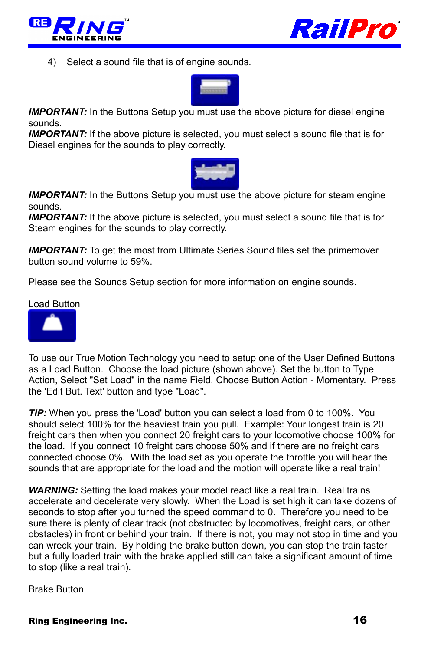



4) Select a sound file that is of engine sounds.



**IMPORTANT:** In the Buttons Setup you must use the above picture for diesel engine sounds.

**IMPORTANT:** If the above picture is selected, you must select a sound file that is for Diesel engines for the sounds to play correctly.



*IMPORTANT:* In the Buttons Setup you must use the above picture for steam engine sounds.

**IMPORTANT:** If the above picture is selected, you must select a sound file that is for Steam engines for the sounds to play correctly.

**IMPORTANT:** To get the most from Ultimate Series Sound files set the primemover button sound volume to 59%.

Please see the Sounds Setup section for more information on engine sounds.

Load Button



To use our True Motion Technology you need to setup one of the User Defined Buttons as a Load Button. Choose the load picture (shown above). Set the button to Type Action, Select "Set Load" in the name Field. Choose Button Action - Momentary. Press the 'Edit But. Text' button and type "Load".

*TIP:* When you press the 'Load' button you can select a load from 0 to 100%. You should select 100% for the heaviest train you pull. Example: Your longest train is 20 freight cars then when you connect 20 freight cars to your locomotive choose 100% for the load. If you connect 10 freight cars choose 50% and if there are no freight cars connected choose 0%. With the load set as you operate the throttle you will hear the sounds that are appropriate for the load and the motion will operate like a real train!

**WARNING:** Setting the load makes your model react like a real train. Real trains accelerate and decelerate very slowly. When the Load is set high it can take dozens of seconds to stop after you turned the speed command to 0. Therefore you need to be sure there is plenty of clear track (not obstructed by locomotives, freight cars, or other obstacles) in front or behind your train. If there is not, you may not stop in time and you can wreck your train. By holding the brake button down, you can stop the train faster but a fully loaded train with the brake applied still can take a significant amount of time to stop (like a real train).

Brake Button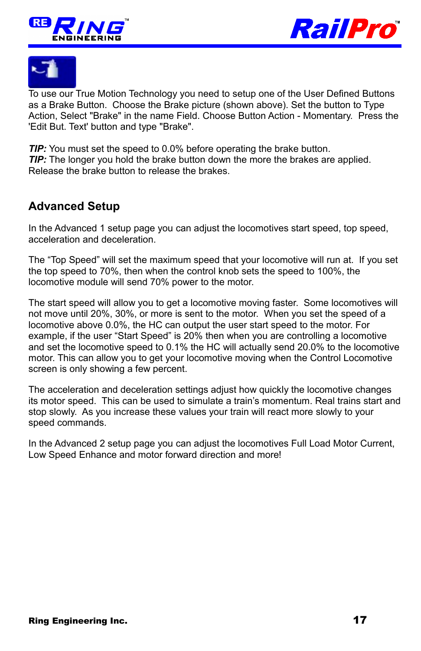





To use our True Motion Technology you need to setup one of the User Defined Buttons as a Brake Button. Choose the Brake picture (shown above). Set the button to Type Action, Select "Brake" in the name Field. Choose Button Action - Momentary. Press the 'Edit But. Text' button and type "Brake".

*TIP:* You must set the speed to 0.0% before operating the brake button. *TIP:* The longer you hold the brake button down the more the brakes are applied. Release the brake button to release the brakes.

## <span id="page-16-0"></span>**Advanced Setup**

In the Advanced 1 setup page you can adjust the locomotives start speed, top speed, acceleration and deceleration.

The "Top Speed" will set the maximum speed that your locomotive will run at. If you set the top speed to 70%, then when the control knob sets the speed to 100%, the locomotive module will send 70% power to the motor.

The start speed will allow you to get a locomotive moving faster. Some locomotives will not move until 20%, 30%, or more is sent to the motor. When you set the speed of a locomotive above 0.0%, the HC can output the user start speed to the motor. For example, if the user "Start Speed" is 20% then when you are controlling a locomotive and set the locomotive speed to 0.1% the HC will actually send 20.0% to the locomotive motor. This can allow you to get your locomotive moving when the Control Locomotive screen is only showing a few percent.

The acceleration and deceleration settings adjust how quickly the locomotive changes its motor speed. This can be used to simulate a train's momentum. Real trains start and stop slowly. As you increase these values your train will react more slowly to your speed commands.

In the Advanced 2 setup page you can adjust the locomotives Full Load Motor Current, Low Speed Enhance and motor forward direction and more!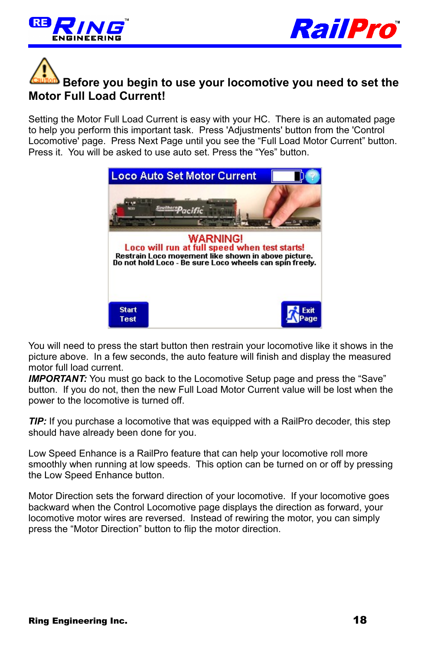



# **Before you begin to use your locomotive you need to set the Motor Full Load Current!**

Setting the Motor Full Load Current is easy with your HC. There is an automated page to help you perform this important task. Press 'Adjustments' button from the 'Control Locomotive' page. Press Next Page until you see the "Full Load Motor Current" button. Press it. You will be asked to use auto set. Press the "Yes" button.



You will need to press the start button then restrain your locomotive like it shows in the picture above. In a few seconds, the auto feature will finish and display the measured motor full load current.

**IMPORTANT:** You must go back to the Locomotive Setup page and press the "Save" button. If you do not, then the new Full Load Motor Current value will be lost when the power to the locomotive is turned off.

*TIP:* If you purchase a locomotive that was equipped with a RailPro decoder, this step should have already been done for you.

Low Speed Enhance is a RailPro feature that can help your locomotive roll more smoothly when running at low speeds. This option can be turned on or off by pressing the Low Speed Enhance button.

Motor Direction sets the forward direction of your locomotive. If your locomotive goes backward when the Control Locomotive page displays the direction as forward, your locomotive motor wires are reversed. Instead of rewiring the motor, you can simply press the "Motor Direction" button to flip the motor direction.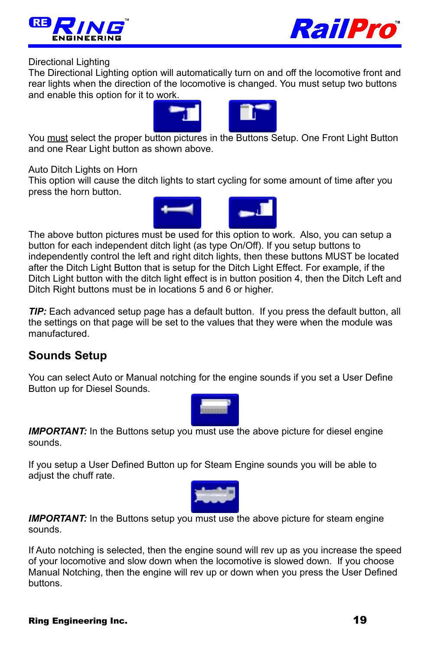



#### Directional Lighting

The Directional Lighting option will automatically turn on and off the locomotive front and rear lights when the direction of the locomotive is changed. You must setup two buttons and enable this option for it to work.



You must select the proper button pictures in the Buttons Setup. One Front Light Button and one Rear Light button as shown above.

Auto Ditch Lights on Horn

This option will cause the ditch lights to start cycling for some amount of time after you press the horn button.



The above button pictures must be used for this option to work. Also, you can setup a button for each independent ditch light (as type On/Off). If you setup buttons to independently control the left and right ditch lights, then these buttons MUST be located after the Ditch Light Button that is setup for the Ditch Light Effect. For example, if the Ditch Light button with the ditch light effect is in button position 4, then the Ditch Left and Ditch Right buttons must be in locations 5 and 6 or higher.

*TIP:* Each advanced setup page has a default button. If you press the default button, all the settings on that page will be set to the values that they were when the module was manufactured.

### <span id="page-18-0"></span>**Sounds Setup**

You can select Auto or Manual notching for the engine sounds if you set a User Define Button up for Diesel Sounds.



**IMPORTANT:** In the Buttons setup you must use the above picture for diesel engine sounds.

If you setup a User Defined Button up for Steam Engine sounds you will be able to adjust the chuff rate.



*IMPORTANT:* In the Buttons setup you must use the above picture for steam engine sounds.

If Auto notching is selected, then the engine sound will rev up as you increase the speed of your locomotive and slow down when the locomotive is slowed down. If you choose Manual Notching, then the engine will rev up or down when you press the User Defined buttons.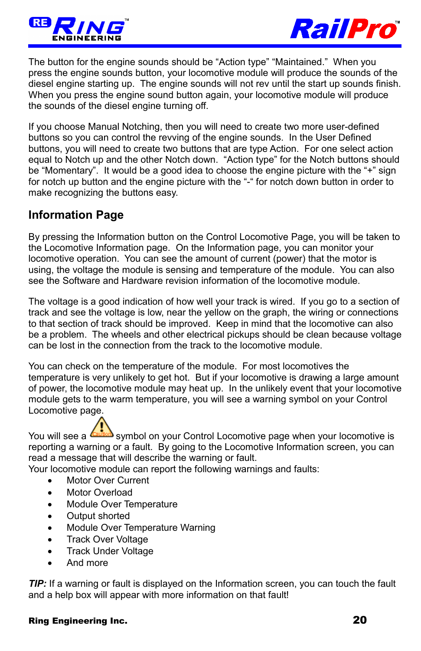



The button for the engine sounds should be "Action type" "Maintained." When you press the engine sounds button, your locomotive module will produce the sounds of the diesel engine starting up. The engine sounds will not rev until the start up sounds finish. When you press the engine sound button again, your locomotive module will produce the sounds of the diesel engine turning off.

If you choose Manual Notching, then you will need to create two more user-defined buttons so you can control the revving of the engine sounds. In the User Defined buttons, you will need to create two buttons that are type Action. For one select action equal to Notch up and the other Notch down. "Action type" for the Notch buttons should be "Momentary". It would be a good idea to choose the engine picture with the "+" sign for notch up button and the engine picture with the "-" for notch down button in order to make recognizing the buttons easy.

### <span id="page-19-0"></span>**Information Page**

By pressing the Information button on the Control Locomotive Page, you will be taken to the Locomotive Information page. On the Information page, you can monitor your locomotive operation. You can see the amount of current (power) that the motor is using, the voltage the module is sensing and temperature of the module. You can also see the Software and Hardware revision information of the locomotive module.

The voltage is a good indication of how well your track is wired. If you go to a section of track and see the voltage is low, near the yellow on the graph, the wiring or connections to that section of track should be improved. Keep in mind that the locomotive can also be a problem. The wheels and other electrical pickups should be clean because voltage can be lost in the connection from the track to the locomotive module.

You can check on the temperature of the module. For most locomotives the temperature is very unlikely to get hot. But if your locomotive is drawing a large amount of power, the locomotive module may heat up. In the unlikely event that your locomotive module gets to the warm temperature, you will see a warning symbol on your Control Locomotive page.

You will see a **Country** symbol on your Control Locomotive page when your locomotive is reporting a warning or a fault. By going to the Locomotive Information screen, you can read a message that will describe the warning or fault.

Your locomotive module can report the following warnings and faults:

- Motor Over Current
- Motor Overload
- Module Over Temperature
- Output shorted
- Module Over Temperature Warning
- Track Over Voltage
- Track Under Voltage
- And more

*TIP:* If a warning or fault is displayed on the Information screen, you can touch the fault and a help box will appear with more information on that fault!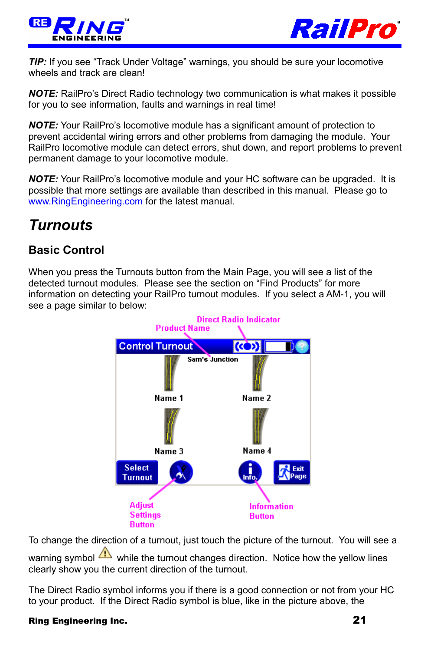



**TIP:** If you see "Track Under Voltage" warnings, you should be sure your locomotive wheels and track are clean!

*NOTE:* RailPro's Direct Radio technology two communication is what makes it possible for you to see information, faults and warnings in real time!

*NOTE:* Your RailPro's locomotive module has a significant amount of protection to prevent accidental wiring errors and other problems from damaging the module. Your RailPro locomotive module can detect errors, shut down, and report problems to prevent permanent damage to your locomotive module.

*NOTE:* Your RailPro's locomotive module and your HC software can be upgraded. It is possible that more settings are available than described in this manual. Please go to [www.RingEngineering.com](http://www.RingEngineering.com/) for the latest manual.

## <span id="page-20-1"></span>*Turnouts*

## <span id="page-20-0"></span>**Basic Control**

When you press the Turnouts button from the Main Page, you will see a list of the detected turnout modules. Please see the section on "Find Products" for more information on detecting your RailPro turnout modules. If you select a AM-1, you will see a page similar to below:



To change the direction of a turnout, just touch the picture of the turnout. You will see a

warning symbol  $\triangle$  while the turnout changes direction. Notice how the yellow lines clearly show you the current direction of the turnout.

The Direct Radio symbol informs you if there is a good connection or not from your HC to your product. If the Direct Radio symbol is blue, like in the picture above, the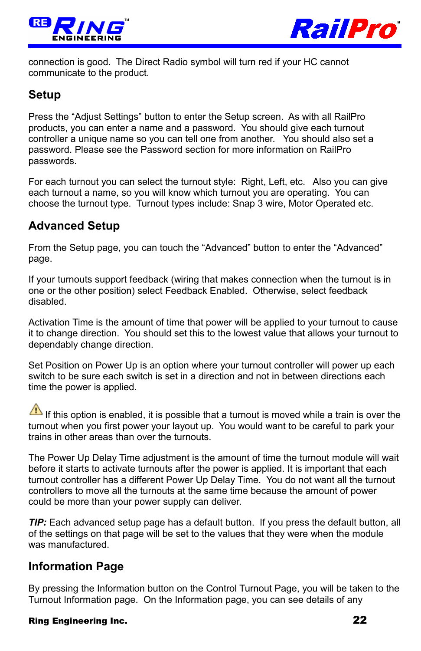



connection is good. The Direct Radio symbol will turn red if your HC cannot communicate to the product.

### <span id="page-21-2"></span>**Setup**

Press the "Adjust Settings" button to enter the Setup screen. As with all RailPro products, you can enter a name and a password. You should give each turnout controller a unique name so you can tell one from another. You should also set a password. Please see the Password section for more information on RailPro passwords.

For each turnout you can select the turnout style: Right, Left, etc. Also you can give each turnout a name, so you will know which turnout you are operating. You can choose the turnout type. Turnout types include: Snap 3 wire, Motor Operated etc.

### <span id="page-21-1"></span>**Advanced Setup**

From the Setup page, you can touch the "Advanced" button to enter the "Advanced" page.

If your turnouts support feedback (wiring that makes connection when the turnout is in one or the other position) select Feedback Enabled. Otherwise, select feedback disabled.

Activation Time is the amount of time that power will be applied to your turnout to cause it to change direction. You should set this to the lowest value that allows your turnout to dependably change direction.

Set Position on Power Up is an option where your turnout controller will power up each switch to be sure each switch is set in a direction and not in between directions each time the power is applied.

If this option is enabled, it is possible that a turnout is moved while a train is over the turnout when you first power your layout up. You would want to be careful to park your trains in other areas than over the turnouts.

The Power Up Delay Time adjustment is the amount of time the turnout module will wait before it starts to activate turnouts after the power is applied. It is important that each turnout controller has a different Power Up Delay Time. You do not want all the turnout controllers to move all the turnouts at the same time because the amount of power could be more than your power supply can deliver.

*TIP:* Each advanced setup page has a default button. If you press the default button, all of the settings on that page will be set to the values that they were when the module was manufactured.

### <span id="page-21-0"></span>**Information Page**

By pressing the Information button on the Control Turnout Page, you will be taken to the Turnout Information page. On the Information page, you can see details of any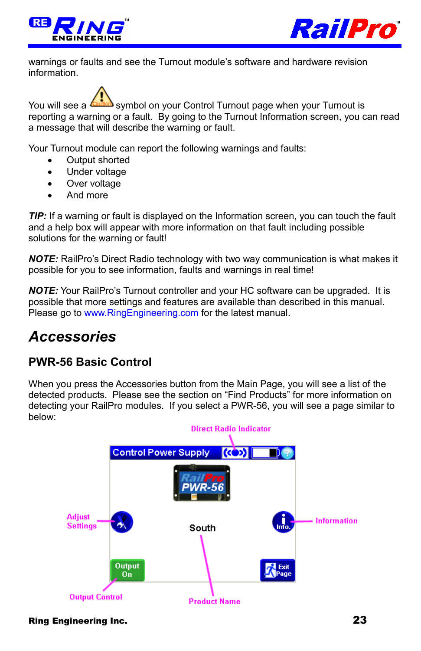



warnings or faults and see the Turnout module's software and hardware revision information.

You will see a **Collum** symbol on your Control Turnout page when your Turnout is reporting a warning or a fault. By going to the Turnout Information screen, you can read a message that will describe the warning or fault.

Your Turnout module can report the following warnings and faults:

- Output shorted
- Under voltage
- Over voltage
- And more

*TIP*: If a warning or fault is displayed on the Information screen, you can touch the fault and a help box will appear with more information on that fault including possible solutions for the warning or fault!

*NOTE:* RailPro's Direct Radio technology with two way communication is what makes it possible for you to see information, faults and warnings in real time!

*NOTE:* Your RailPro's Turnout controller and your HC software can be upgraded. It is possible that more settings and features are available than described in this manual. Please go to [www.RingEngineering.com](http://www.RingEngineering.com/) for the latest manual.

## <span id="page-22-1"></span>*Accessories*

## <span id="page-22-0"></span>**PWR-56 Basic Control**

When you press the Accessories button from the Main Page, you will see a list of the detected products. Please see the section on "Find Products" for more information on detecting your RailPro modules. If you select a PWR-56, you will see a page similar to below:

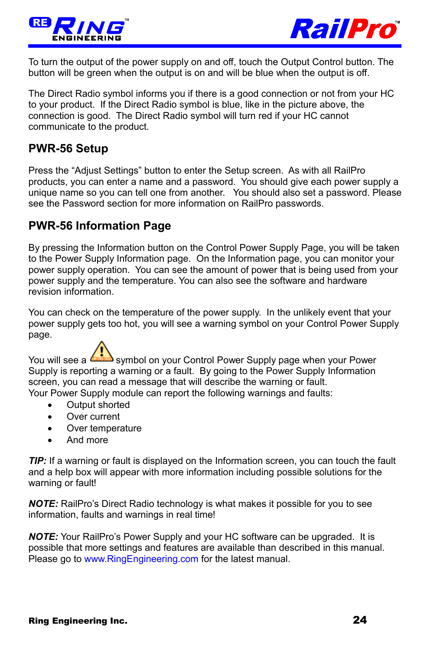



To turn the output of the power supply on and off, touch the Output Control button. The button will be green when the output is on and will be blue when the output is off.

The Direct Radio symbol informs you if there is a good connection or not from your HC to your product. If the Direct Radio symbol is blue, like in the picture above, the connection is good. The Direct Radio symbol will turn red if your HC cannot communicate to the product.

### <span id="page-23-1"></span>**PWR-56 Setup**

Press the "Adjust Settings" button to enter the Setup screen. As with all RailPro products, you can enter a name and a password. You should give each power supply a unique name so you can tell one from another. You should also set a password. Please see the Password section for more information on RailPro passwords.

### <span id="page-23-0"></span>**PWR-56 Information Page**

By pressing the Information button on the Control Power Supply Page, you will be taken to the Power Supply Information page. On the Information page, you can monitor your power supply operation. You can see the amount of power that is being used from your power supply and the temperature. You can also see the software and hardware revision information.

You can check on the temperature of the power supply. In the unlikely event that your power supply gets too hot, you will see a warning symbol on your Control Power Supply page.

You will see a  $\sqrt{\sinh^2}$  symbol on your Control Power Supply page when your Power Supply is reporting a warning or a fault. By going to the Power Supply Information screen, you can read a message that will describe the warning or fault.

Your Power Supply module can report the following warnings and faults:

- Output shorted
- Over current
- Over temperature
- And more

*TIP:* If a warning or fault is displayed on the Information screen, you can touch the fault and a help box will appear with more information including possible solutions for the warning or fault!

*NOTE:* RailPro's Direct Radio technology is what makes it possible for you to see information, faults and warnings in real time!

*NOTE:* Your RailPro's Power Supply and your HC software can be upgraded. It is possible that more settings and features are available than described in this manual. Please go to [www.RingEngineering.com](http://www.RingEngineering.com/) for the latest manual.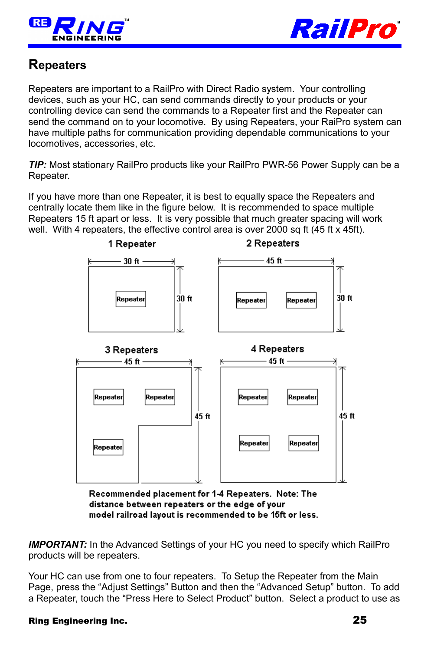



## <span id="page-24-0"></span>**Repeaters**

Repeaters are important to a RailPro with Direct Radio system. Your controlling devices, such as your HC, can send commands directly to your products or your controlling device can send the commands to a Repeater first and the Repeater can send the command on to your locomotive. By using Repeaters, your RaiPro system can have multiple paths for communication providing dependable communications to your locomotives, accessories, etc.

*TIP:* Most stationary RailPro products like your RailPro PWR-56 Power Supply can be a Repeater.

If you have more than one Repeater, it is best to equally space the Repeaters and centrally locate them like in the figure below. It is recommended to space multiple Repeaters 15 ft apart or less. It is very possible that much greater spacing will work well. With 4 repeaters, the effective control area is over 2000 sq ft (45 ft x 45ft).



Recommended placement for 1-4 Repeaters. Note: The distance between repeaters or the edge of your model railroad layout is recommended to be 15ft or less.

**IMPORTANT:** In the Advanced Settings of your HC you need to specify which RailPro products will be repeaters.

Your HC can use from one to four repeaters. To Setup the Repeater from the Main Page, press the "Adjust Settings" Button and then the "Advanced Setup" button. To add a Repeater, touch the "Press Here to Select Product" button. Select a product to use as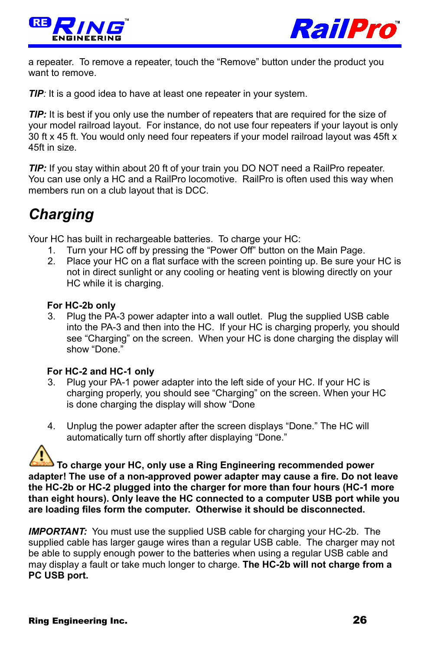



a repeater. To remove a repeater, touch the "Remove" button under the product you want to remove.

*TIP*: It is a good idea to have at least one repeater in your system.

*TIP:* It is best if you only use the number of repeaters that are required for the size of your model railroad layout. For instance, do not use four repeaters if your layout is only 30 ft x 45 ft. You would only need four repeaters if your model railroad layout was 45ft x 45ft in size.

*TIP:* If you stay within about 20 ft of your train you DO NOT need a RailPro repeater. You can use only a HC and a RailPro locomotive. RailPro is often used this way when members run on a club layout that is DCC.

## <span id="page-25-0"></span>*Charging*

Your HC has built in rechargeable batteries. To charge your HC:

- 1. Turn your HC off by pressing the "Power Off" button on the Main Page.
- 2. Place your HC on a flat surface with the screen pointing up. Be sure your HC is not in direct sunlight or any cooling or heating vent is blowing directly on your HC while it is charging.

#### **For HC-2b only**

3. Plug the PA-3 power adapter into a wall outlet. Plug the supplied USB cable into the PA-3 and then into the HC. If your HC is charging properly, you should see "Charging" on the screen. When your HC is done charging the display will show "Done."

#### **For HC-2 and HC-1 only**

- 3. Plug your PA-1 power adapter into the left side of your HC. If your HC is charging properly, you should see "Charging" on the screen. When your HC is done charging the display will show "Done
- 4. Unplug the power adapter after the screen displays "Done." The HC will automatically turn off shortly after displaying "Done."

**To charge your HC, only use a Ring Engineering recommended power adapter! The use of a non-approved power adapter may cause a fire. Do not leave the HC-2b or HC-2 plugged into the charger for more than four hours (HC-1 more than eight hours). Only leave the HC connected to a computer USB port while you are loading files form the computer. Otherwise it should be disconnected.** 

**IMPORTANT:** You must use the supplied USB cable for charging your HC-2b. The supplied cable has larger gauge wires than a regular USB cable. The charger may not be able to supply enough power to the batteries when using a regular USB cable and may display a fault or take much longer to charge. **The HC-2b will not charge from a PC USB port.**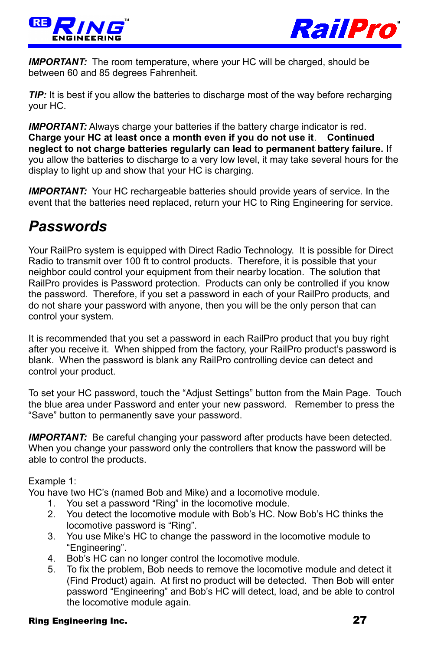



**IMPORTANT:** The room temperature, where your HC will be charged, should be between 60 and 85 degrees Fahrenheit.

*TIP:* It is best if you allow the batteries to discharge most of the way before recharging your HC.

**IMPORTANT:** Always charge your batteries if the battery charge indicator is red. **Charge your HC at least once a month even if you do not use it**. **Continued neglect to not charge batteries regularly can lead to permanent battery failure.** If you allow the batteries to discharge to a very low level, it may take several hours for the display to light up and show that your HC is charging.

*IMPORTANT:* Your HC rechargeable batteries should provide years of service. In the event that the batteries need replaced, return your HC to Ring Engineering for service.

## <span id="page-26-0"></span>*Passwords*

Your RailPro system is equipped with Direct Radio Technology. It is possible for Direct Radio to transmit over 100 ft to control products. Therefore, it is possible that your neighbor could control your equipment from their nearby location. The solution that RailPro provides is Password protection. Products can only be controlled if you know the password. Therefore, if you set a password in each of your RailPro products, and do not share your password with anyone, then you will be the only person that can control your system.

It is recommended that you set a password in each RailPro product that you buy right after you receive it. When shipped from the factory, your RailPro product's password is blank. When the password is blank any RailPro controlling device can detect and control your product.

To set your HC password, touch the "Adjust Settings" button from the Main Page. Touch the blue area under Password and enter your new password. Remember to press the "Save" button to permanently save your password.

**IMPORTANT:** Be careful changing your password after products have been detected. When you change your password only the controllers that know the password will be able to control the products.

Example 1:

You have two HC's (named Bob and Mike) and a locomotive module.

- 1. You set a password "Ring" in the locomotive module.
- 2. You detect the locomotive module with Bob's HC. Now Bob's HC thinks the locomotive password is "Ring".
- 3. You use Mike's HC to change the password in the locomotive module to "Engineering".
- 4. Bob's HC can no longer control the locomotive module.
- 5. To fix the problem, Bob needs to remove the locomotive module and detect it (Find Product) again. At first no product will be detected. Then Bob will enter password "Engineering" and Bob's HC will detect, load, and be able to control the locomotive module again.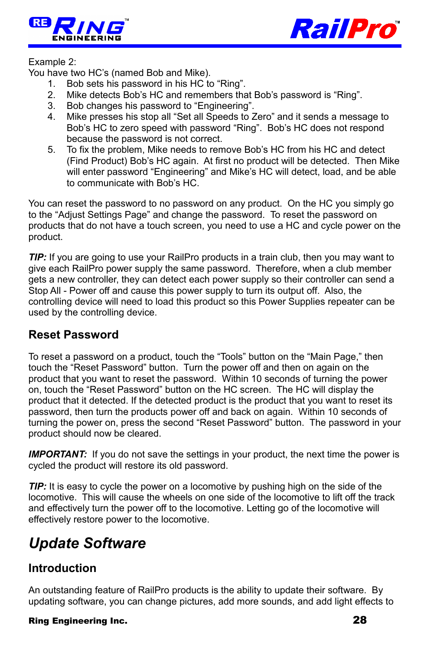



#### Example 2:

You have two HC's (named Bob and Mike).

- 1. Bob sets his password in his HC to "Ring".
- 2. Mike detects Bob's HC and remembers that Bob's password is "Ring".
- 3. Bob changes his password to "Engineering".
- 4. Mike presses his stop all "Set all Speeds to Zero" and it sends a message to Bob's HC to zero speed with password "Ring". Bob's HC does not respond because the password is not correct.
- 5. To fix the problem, Mike needs to remove Bob's HC from his HC and detect (Find Product) Bob's HC again. At first no product will be detected. Then Mike will enter password "Engineering" and Mike's HC will detect, load, and be able to communicate with Bob's HC.

You can reset the password to no password on any product. On the HC you simply go to the "Adjust Settings Page" and change the password. To reset the password on products that do not have a touch screen, you need to use a HC and cycle power on the product.

*TIP:* If you are going to use your RailPro products in a train club, then you may want to give each RailPro power supply the same password. Therefore, when a club member gets a new controller, they can detect each power supply so their controller can send a Stop All - Power off and cause this power supply to turn its output off. Also, the controlling device will need to load this product so this Power Supplies repeater can be used by the controlling device.

### <span id="page-27-2"></span>**Reset Password**

To reset a password on a product, touch the "Tools" button on the "Main Page," then touch the "Reset Password" button. Turn the power off and then on again on the product that you want to reset the password. Within 10 seconds of turning the power on, touch the "Reset Password" button on the HC screen. The HC will display the product that it detected. If the detected product is the product that you want to reset its password, then turn the products power off and back on again. Within 10 seconds of turning the power on, press the second "Reset Password" button. The password in your product should now be cleared.

**IMPORTANT:** If you do not save the settings in your product, the next time the power is cycled the product will restore its old password.

*TIP:* It is easy to cycle the power on a locomotive by pushing high on the side of the locomotive. This will cause the wheels on one side of the locomotive to lift off the track and effectively turn the power off to the locomotive. Letting go of the locomotive will effectively restore power to the locomotive.

## <span id="page-27-1"></span>*Update Software*

### <span id="page-27-0"></span>**Introduction**

An outstanding feature of RailPro products is the ability to update their software. By updating software, you can change pictures, add more sounds, and add light effects to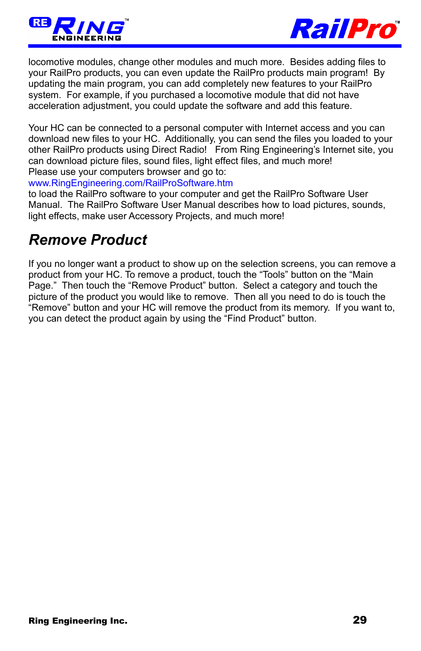



locomotive modules, change other modules and much more. Besides adding files to your RailPro products, you can even update the RailPro products main program! By updating the main program, you can add completely new features to your RailPro system. For example, if you purchased a locomotive module that did not have acceleration adjustment, you could update the software and add this feature.

Your HC can be connected to a personal computer with Internet access and you can download new files to your HC. Additionally, you can send the files you loaded to your other RailPro products using Direct Radio! From Ring Engineering's Internet site, you can download picture files, sound files, light effect files, and much more! Please use your computers browser and go to:

[www.RingEngineering.com/RailProSoftware.htm](http://www.RingEngineering.com/RailProSoftware.htm)

to load the RailPro software to your computer and get the RailPro Software User Manual. The RailPro Software User Manual describes how to load pictures, sounds, light effects, make user Accessory Projects, and much more!

## <span id="page-28-0"></span>*Remove Product*

If you no longer want a product to show up on the selection screens, you can remove a product from your HC. To remove a product, touch the "Tools" button on the "Main Page." Then touch the "Remove Product" button. Select a category and touch the picture of the product you would like to remove. Then all you need to do is touch the "Remove" button and your HC will remove the product from its memory. If you want to, you can detect the product again by using the "Find Product" button.